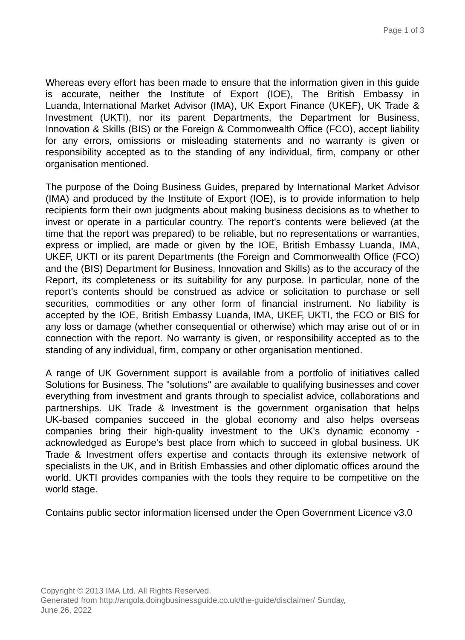Whereas every effort has been made to ensure that the information given in this guide is accurate, neither the Institute of Export (IOE), The British Embassy in Luanda, International Market Advisor (IMA), UK Export Finance (UKEF), UK Trade & Investment (UKTI), nor its parent Departments, the Department for Business, Innovation & Skills (BIS) or the Foreign & Commonwealth Office (FCO), accept liability for any errors, omissions or misleading statements and no warranty is given or responsibility accepted as to the standing of any individual, firm, company or other organisation mentioned.

The purpose of the Doing Business Guides, prepared by International Market Advisor (IMA) and produced by the Institute of Export (IOE), is to provide information to help recipients form their own judgments about making business decisions as to whether to invest or operate in a particular country. The report's contents were believed (at the time that the report was prepared) to be reliable, but no representations or warranties, express or implied, are made or given by the IOE, British Embassy Luanda, IMA, UKEF, UKTI or its parent Departments (the Foreign and Commonwealth Office (FCO) and the (BIS) Department for Business, Innovation and Skills) as to the accuracy of the Report, its completeness or its suitability for any purpose. In particular, none of the report's contents should be construed as advice or solicitation to purchase or sell securities, commodities or any other form of financial instrument. No liability is accepted by the IOE, British Embassy Luanda, IMA, UKEF, UKTI, the FCO or BIS for any loss or damage (whether consequential or otherwise) which may arise out of or in connection with the report. No warranty is given, or responsibility accepted as to the standing of any individual, firm, company or other organisation mentioned.

A range of UK Government support is available from a portfolio of initiatives called Solutions for Business. The "solutions" are available to qualifying businesses and cover everything from investment and grants through to specialist advice, collaborations and partnerships. UK Trade & Investment is the government organisation that helps UK-based companies succeed in the global economy and also helps overseas companies bring their high-quality investment to the UK's dynamic economy acknowledged as Europe's best place from which to succeed in global business. UK Trade & Investment offers expertise and contacts through its extensive network of specialists in the UK, and in British Embassies and other diplomatic offices around the world. UKTI provides companies with the tools they require to be competitive on the world stage.

Contains public sector information licensed under the Open Government Licence v3.0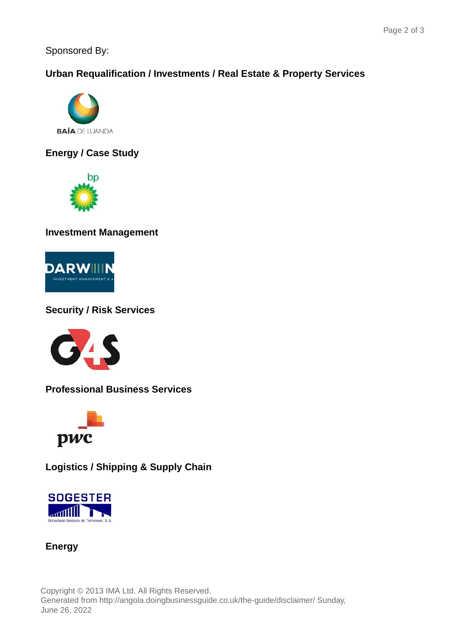Sponsored By:

## **Urban Requalification / Investments / Real Estate & Property Services**



**Energy / Case Study**



**Investment Management**



## **Security / Risk Services**



**Professional Business Services**



**Logistics / Shipping & Supply Chain**



**Energy**

Copyright © 2013 IMA Ltd. All Rights Reserved. Generated from http://angola.doingbusinessguide.co.uk/the-guide/disclaimer/ Sunday, June 26, 2022